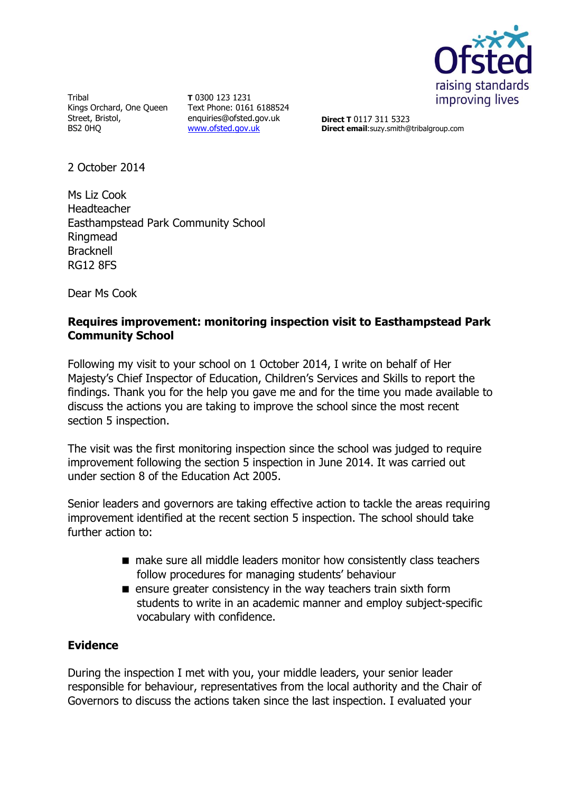

**Tribal** Kings Orchard, One Queen Street, Bristol, BS2 0HQ

**T** 0300 123 1231 Text Phone: 0161 6188524 enquiries@ofsted.gov.uk [www.ofsted.gov.uk](http://www.ofsted.gov.uk/)

**Direct T** 0117 311 5323 **Direct email**:suzy.smith@tribalgroup.com

2 October 2014

Ms Liz Cook Headteacher Easthampstead Park Community School Ringmead Bracknell RG12 8FS

Dear Ms Cook

## **Requires improvement: monitoring inspection visit to Easthampstead Park Community School**

Following my visit to your school on 1 October 2014, I write on behalf of Her Majesty's Chief Inspector of Education, Children's Services and Skills to report the findings. Thank you for the help you gave me and for the time you made available to discuss the actions you are taking to improve the school since the most recent section 5 inspection.

The visit was the first monitoring inspection since the school was judged to require improvement following the section 5 inspection in June 2014. It was carried out under section 8 of the Education Act 2005.

Senior leaders and governors are taking effective action to tackle the areas requiring improvement identified at the recent section 5 inspection. The school should take further action to:

- make sure all middle leaders monitor how consistently class teachers follow procedures for managing students' behaviour
- **E** ensure greater consistency in the way teachers train sixth form students to write in an academic manner and employ subject-specific vocabulary with confidence.

## **Evidence**

During the inspection I met with you, your middle leaders, your senior leader responsible for behaviour, representatives from the local authority and the Chair of Governors to discuss the actions taken since the last inspection. I evaluated your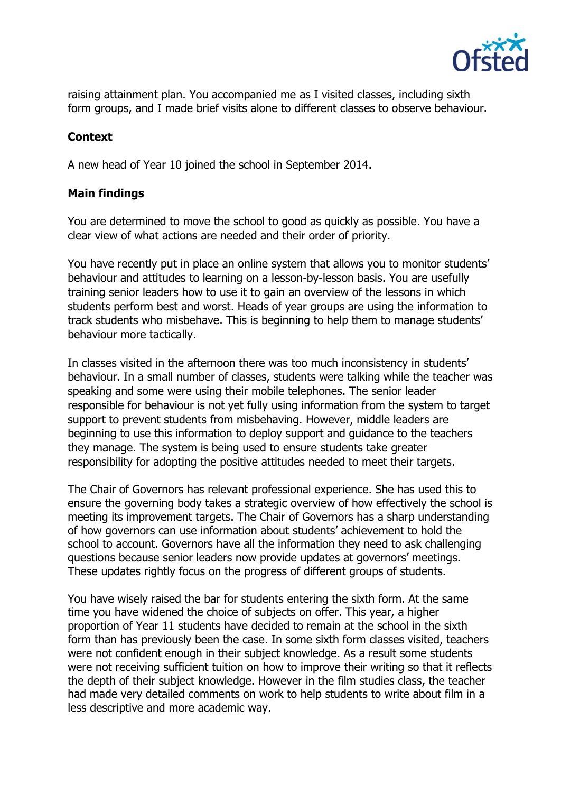

raising attainment plan. You accompanied me as I visited classes, including sixth form groups, and I made brief visits alone to different classes to observe behaviour.

# **Context**

A new head of Year 10 joined the school in September 2014.

## **Main findings**

You are determined to move the school to good as quickly as possible. You have a clear view of what actions are needed and their order of priority.

You have recently put in place an online system that allows you to monitor students' behaviour and attitudes to learning on a lesson-by-lesson basis. You are usefully training senior leaders how to use it to gain an overview of the lessons in which students perform best and worst. Heads of year groups are using the information to track students who misbehave. This is beginning to help them to manage students' behaviour more tactically.

In classes visited in the afternoon there was too much inconsistency in students' behaviour. In a small number of classes, students were talking while the teacher was speaking and some were using their mobile telephones. The senior leader responsible for behaviour is not yet fully using information from the system to target support to prevent students from misbehaving. However, middle leaders are beginning to use this information to deploy support and guidance to the teachers they manage. The system is being used to ensure students take greater responsibility for adopting the positive attitudes needed to meet their targets.

The Chair of Governors has relevant professional experience. She has used this to ensure the governing body takes a strategic overview of how effectively the school is meeting its improvement targets. The Chair of Governors has a sharp understanding of how governors can use information about students' achievement to hold the school to account. Governors have all the information they need to ask challenging questions because senior leaders now provide updates at governors' meetings. These updates rightly focus on the progress of different groups of students.

You have wisely raised the bar for students entering the sixth form. At the same time you have widened the choice of subjects on offer. This year, a higher proportion of Year 11 students have decided to remain at the school in the sixth form than has previously been the case. In some sixth form classes visited, teachers were not confident enough in their subject knowledge. As a result some students were not receiving sufficient tuition on how to improve their writing so that it reflects the depth of their subject knowledge. However in the film studies class, the teacher had made very detailed comments on work to help students to write about film in a less descriptive and more academic way.